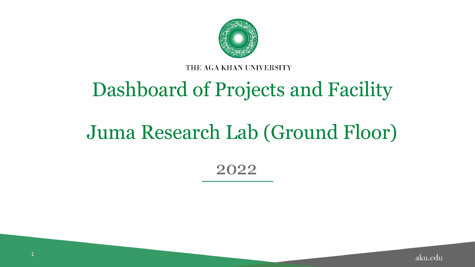

THE AGA KHAN UNIVERSITY

# Dashboard of Projects and Facility

## Juma Research Lab (Ground Floor)

2022

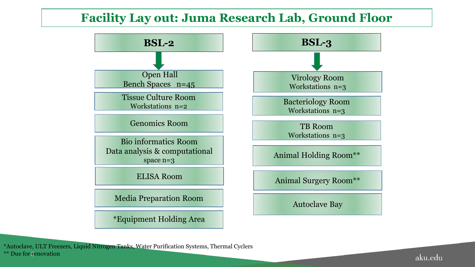### **Facility Lay out: Juma Research Lab, Ground Floor**



\*\* Due for renovation \*Autoclave, ULT Freezers, Liquid Nitrogen Tanks, Water Purification Systems, Thermal Cyclers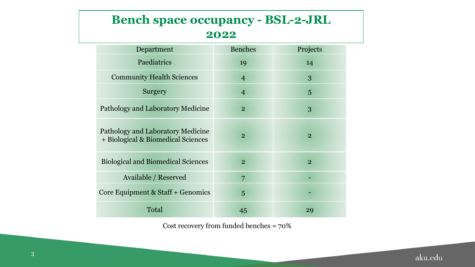### **Bench space occupancy - BSL-2-JRL 2022**

| Department                                                              | <b>Benches</b> | Projects       |
|-------------------------------------------------------------------------|----------------|----------------|
| Paediatrics                                                             | 19             | 14             |
| <b>Community Health Sciences</b>                                        | $\overline{4}$ | 3              |
| Surgery                                                                 | $\overline{4}$ | 5              |
| Pathology and Laboratory Medicine                                       | $\overline{2}$ | 3              |
| Pathology and Laboratory Medicine<br>+ Biological & Biomedical Sciences | $\overline{2}$ | $\overline{2}$ |
| <b>Biological and Biomedical Sciences</b>                               | $\overline{2}$ | $\overline{2}$ |
| Available / Reserved                                                    | 7              |                |
| Core Equipment & Staff + Genomics                                       | 5              |                |
| Total                                                                   | 45             | 29             |

Cost recovery from funded benches = 70%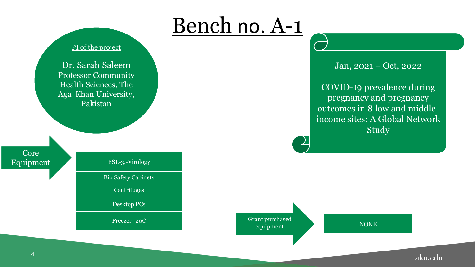

Jan, 2021 – Oct, 2022

COVID-19 prevalence during pregnancy and pregnancy outcomes in 8 low and middleincome sites: A Global Network Study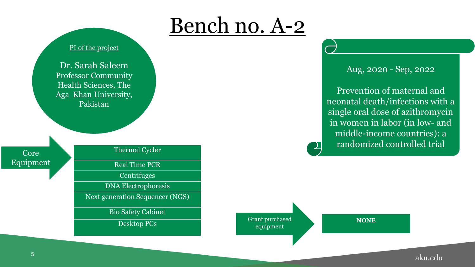

Aug, 2020 - Sep, 2022

Prevention of maternal and neonatal death/infections with a single oral dose of azithromycin in women in labor (in low- and middle-income countries): a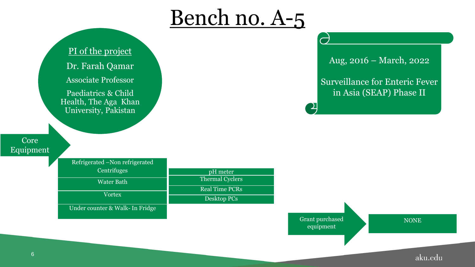PI of the project Dr. Farah Qamar Associate Professor Paediatrics & Child Health, The Aga Khan

University, Pakistan

#### Core Equipment

Refrigerated –Non refrigerated **Centrifuges** Water Bath Vortex Under counter & Walk- In Fridge pH meter Thermal Cyclers Real Time PCRs Desktop PCs

Aug, 2016 – March, 2022

Surveillance for Enteric Fever in Asia (SEAP) Phase II

Grant purchased equipment

NONE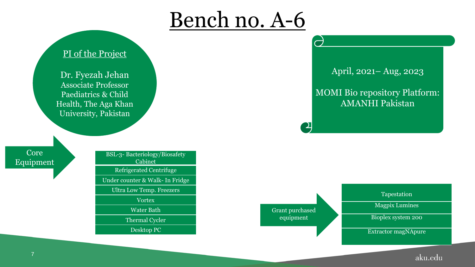### PI of the Project

Dr. Fyezah Jehan Associate Professor Paediatrics & Child Health, The Aga Khan University, Pakistan

Core Equipment

BSL-3- Bacteriology/Biosafety Cabinet Refrigerated Centrifuge Under counter & Walk- In Fridge Ultra Low Temp. Freezers Vortex Water Bath Thermal Cycler Desktop PC

April, 2021– Aug, 2023

MOMI Bio repository Platform: AMANHI Pakistan

Grant purchased equipment

#### Tapestation

Magpix Lumines

Bioplex system 200

Extractor magNApure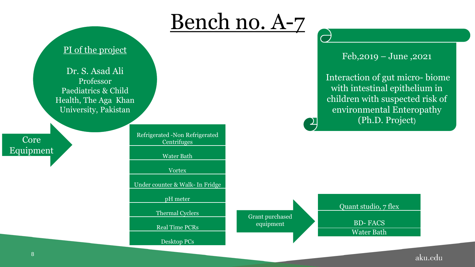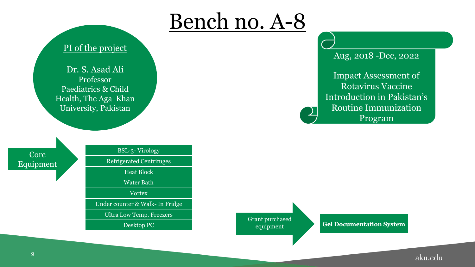

### PI of the project

Dr. S. Asad Ali Professor Paediatrics & Child Health, The Aga Khan University, Pakistan

Core Equipment



Grant purchased equipment

Aug, 2018 -Dec, 2022

Impact Assessment of Rotavirus Vaccine Introduction in Pakistan's Routine Immunization Program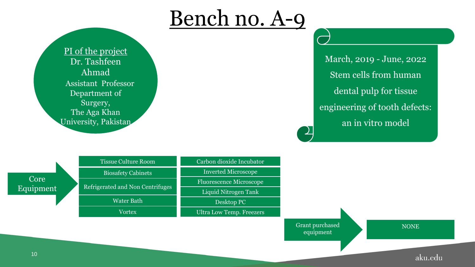PI of the project Dr. Tashfeen Ahmad Assistant Professor Department of Surgery, The Aga Khan University, Pakistan

March, 2019 - June, 2022 Stem cells from human dental pulp for tissue engineering of tooth defects: an in vitro model

|                   | <b>Tissue Culture Room</b>       | Carbon dioxide Incubator       |                                     |             |
|-------------------|----------------------------------|--------------------------------|-------------------------------------|-------------|
|                   | <b>Biosafety Cabinets</b>        | <b>Inverted Microscope</b>     |                                     |             |
| Core<br>Equipment | Refrigerated and Non Centrifuges | <b>Fluorescence Microscope</b> |                                     |             |
|                   |                                  | Liquid Nitrogen Tank           |                                     |             |
|                   | <b>Water Bath</b>                | Desktop PC                     |                                     |             |
|                   | <b>Vortex</b>                    | Ultra Low Temp. Freezers       |                                     |             |
|                   |                                  |                                | <b>Grant purchased</b><br>equipment | <b>NONE</b> |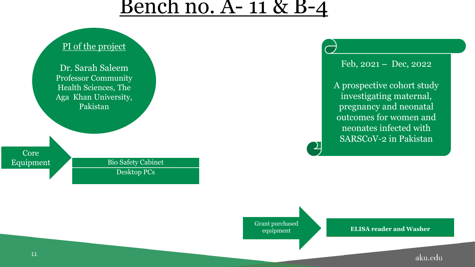### <u>Bench no. A- 11 & B-4</u>



Feb, 2021 *–* Dec, 2022 A prospective cohort study investigating maternal, pregnancy and neonatal outcomes for women and neonates infected with

SARSCoV-2 in Pakistan

Grant purchased equipment

**ELISA reader and Washer**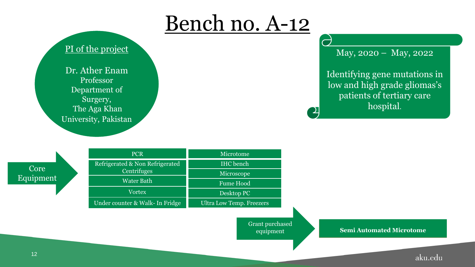

### PI of the project

Dr. Ather Enam Professor Department of Surgery, The Aga Khan University, Pakistan May, 2020 – May, 2022

Identifying gene mutations in low and high grade gliomas's patients of tertiary care hospital.

Core Equipment

**PCR** Refrigerated & Non Refrigerated **Centrifuges** Water Bath **Vortex** Under counter & Walk- In Fridge Microtome IHC bench Microscope Fume Hood Desktop PC Ultra Low Temp. Freezers

> Grant purchased equipment

**Semi Automated Microtome**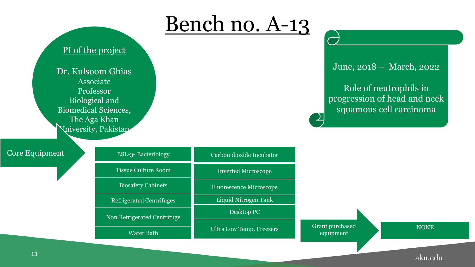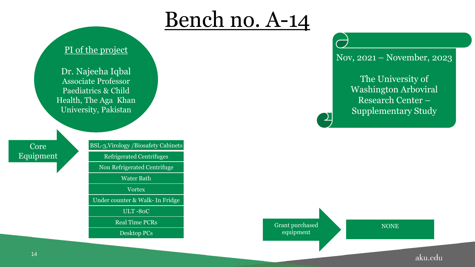### PI of the project

Dr. Najeeha Iqbal Associate Professor Paediatrics & Child Health, The Aga Khan University, Pakistan

Core Equipment BSL-3,Virology /Biosafety Cabinets Refrigerated Centrifuges Non Refrigerated Centrifuge Water Bath Vortex Under counter & Walk- In Fridge ULT -80C Real Time PCRs Desktop PCs

Nov, 2021 – November, 2023

The University of Washington Arboviral Research Center – Supplementary Study



**NONE**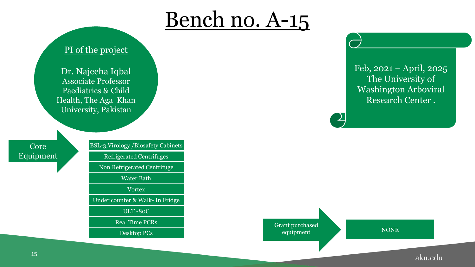### PI of the project

Dr. Najeeha Iqbal Associate Professor Paediatrics & Child Health, The Aga Khan University, Pakistan

Core Equipment BSL-3,Virology /Biosafety Cabinets Refrigerated Centrifuges Non Refrigerated Centrifuge Water Bath Vortex Under counter & Walk- In Fridge ULT -80C Real Time PCRs Desktop PCs

Feb, 2021 – April, 2025 The University of Washington Arboviral Research Center .

Grant purchased equipment NONE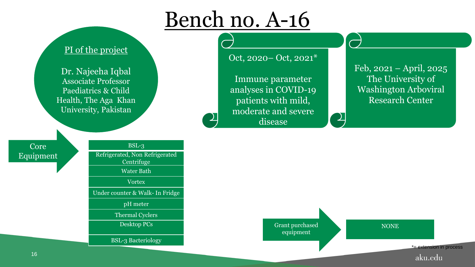### PI of the project

Dr. Najeeha Iqbal Associate Professor Paediatrics & Child Health, The Aga Khan University, Pakistan

#### Core Equipment

BSL-3 Refrigerated, Non Refrigerated **Centrifuge** Water Bath **Vortex** Under counter & Walk- In Fridge pH meter Thermal Cyclers Desktop PCs BSL-3 Bacteriology

Oct, 2020– Oct, 2021\*

Immune parameter analyses in COVID-19 patients with mild, moderate and severe disease

Feb, 2021 – April, 2025 The University of Washington Arboviral Research Center

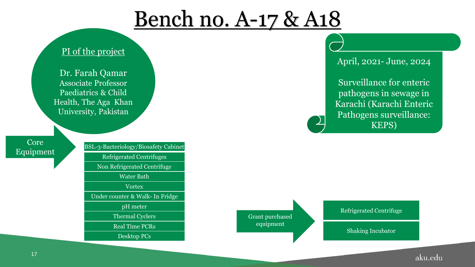# Bench no. A-17 & A18

### PI of the project

Dr. Farah Qamar Associate Professor Paediatrics & Child Health, The Aga Khan University, Pakistan

Core

Equipment BSL-3-Bacteriology/Biosafety Cabinet Refrigerated Centrifuges Non Refrigerated Centrifuge Water Bath **Vortex** Under counter & Walk- In Fridge pH meter Thermal Cyclers Real Time PCRs

Desktop PCs

April, 2021- June, 2024

Surveillance for enteric pathogens in sewage in Karachi (Karachi Enteric Pathogens surveillance: KEPS)

Grant purchased equipment

Refrigerated Centrifuge

Shaking Incubator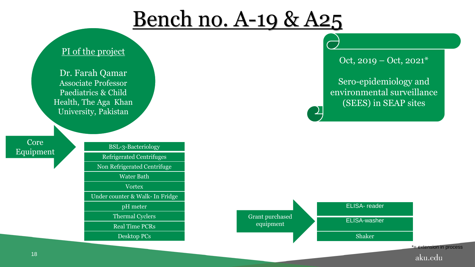# Bench no. A-19 & A25

### PI of the project

Dr. Farah Qamar Associate Professor Paediatrics & Child Health, The Aga Khan University, Pakistan

Core



Oct, 2019 – Oct, 2021\*

Sero-epidemiology and environmental surveillance (SEES) in SEAP sites

aku.edu



 $\perp$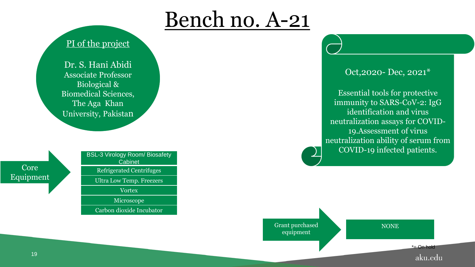### PI of the project

Dr. S. Hani Abidi Associate Professor Biological & Biomedical Sciences, The Aga Khan University, Pakistan

Core Equipment

| <b>BSL-3 Virology Room/ Biosafety</b><br>Cabinet |
|--------------------------------------------------|
| <b>Refrigerated Centrifuges</b>                  |
| <b>Ultra Low Temp. Freezers</b>                  |
| <b>Vortex</b>                                    |
| Microscope                                       |
| Carbon dioxide Incubator                         |

### Oct,2020- Dec, 2021\*

Essential tools for protective immunity to SARS-CoV-2: IgG identification and virus neutralization assays for COVID-19.Assessment of virus neutralization ability of serum from COVID-19 infected patients.

Grant purchased equipment

**NONE** 

\*= On hold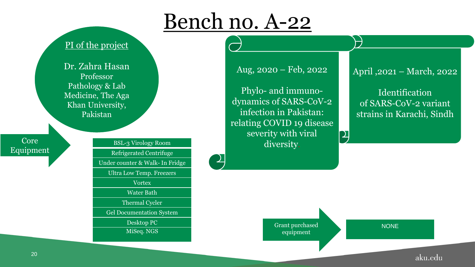$\frac{1}{\sqrt{2}}$ 

### PI of the project

Dr. Zahra Hasan Professor Pathology & Lab Medicine, The Aga Khan University, Pakistan

Core **Equipment** 

### BSL-3 Virology Room Refrigerated Centrifuge Under counter & Walk- In Fridge Ultra Low Temp. Freezers **Vortex** Water Bath Thermal Cycler Gel Documentation System Desktop PC MiSeq. NGS

Aug, 2020 – Feb, 2022

Phylo- and immunodynamics of SARS-CoV-2 infection in Pakistan: relating COVID 19 disease severity with viral diversity.

### April ,2021 – March, 2022

Identification of SARS-CoV-2 variant strains in Karachi, Sindh

Grant purchased equipment

**NONE** 

 $\bm{\mathsf{P}}$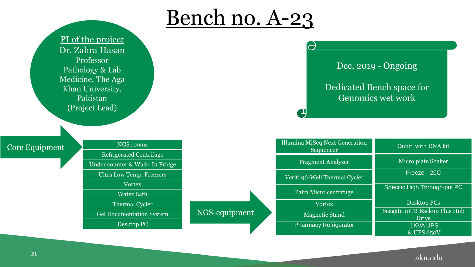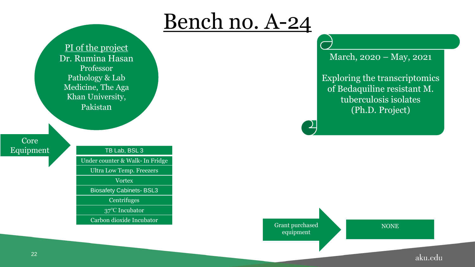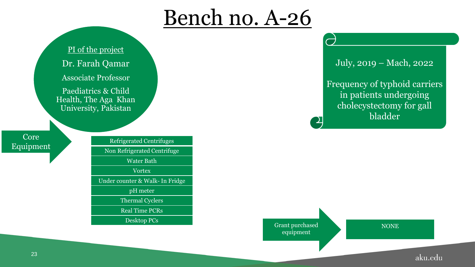PI of the project Dr. Farah Qamar Associate Professor Paediatrics & Child Health, The Aga Khan University, Pakistan Refrigerated Centrifuges Non Refrigerated Centrifuge Water Bath Vortex Under counter & Walk- In Fridge pH meter Thermal Cyclers Real Time PCRs Desktop PCs

July, 2019 – Mach, 2022

Frequency of typhoid carriers in patients undergoing cholecystectomy for gall bladder

Grant purchased equipment

**NONE** 

aku.edu

Core

Equipment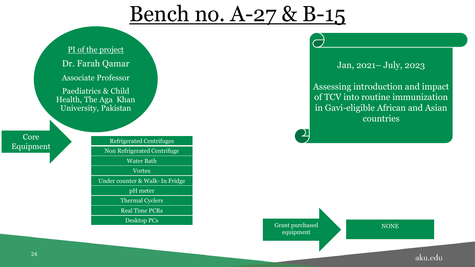## Bench no. A-27 & B-15



Jan, 2021– July, 2023

Assessing introduction and impact of TCV into routine immunization in Gavi-eligible African and Asian countries

Grant purchased equipment

**NONE**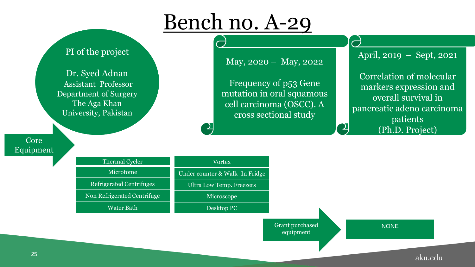#### $\overline{\phantom{0}}$ PI of the project April, 2019 *–* Sept, 2021 May, 2020 – May, 2022 Dr. Syed Adnan Correlation of molecular Frequency of p53 Gene Assistant Professor markers expression and mutation in oral squamous Department of Surgery overall survival in The Aga Khan cell carcinoma (OSCC). A pancreatic adeno carcinoma University, Pakistan cross sectional study patients  $\mathcal{L}_{\mathcal{A}}$ (Ph.D. Project) Core Equipment Thermal Cycler **Vortex** Microtome Under counter & Walk- In Fridge Refrigerated Centrifuges Ultra Low Temp. Freezers Non Refrigerated Centrifuge Microscope

Desktop PC

Grant purchased equipment

**NONE** 

aku.edu

Water Bath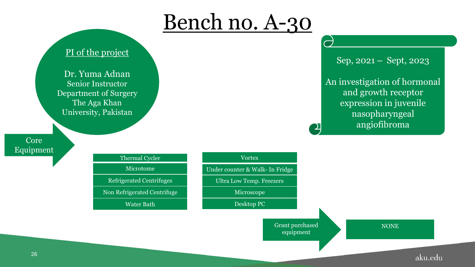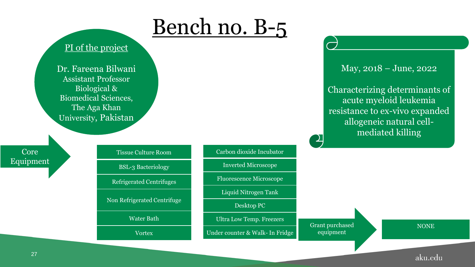### PI of the project

Dr. Fareena Bilwani Assistant Professor Biological & Biomedical Sciences, The Aga Khan University, Pakistan

Core Equipment

#### Tissue Culture Room

BSL-3 Bacteriology

Refrigerated Centrifuges

Non Refrigerated Centrifuge

Water Bath

Vortex

#### Carbon dioxide Incubator

Inverted Microscope

Fluorescence Microscope

Liquid Nitrogen Tank

Desktop PC

Ultra Low Temp. Freezers

Under counter & Walk- In Fridge

May, 2018 – June, 2022

Characterizing determinants of acute myeloid leukemia resistance to ex-vivo expanded allogeneic natural cellmediated killing

Grant purchased equipment

**NONE**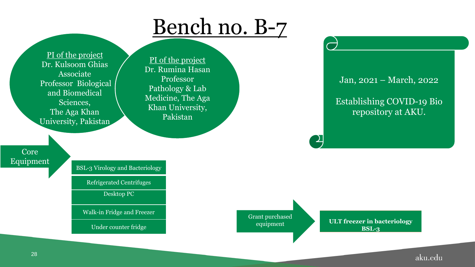PI of the project Dr. Kulsoom Ghias Associate Professor Biological and Biomedical Sciences, The Aga Khan University, Pakistan

PI of the project Dr. Rumina Hasan Professor Pathology & Lab Medicine, The Aga Khan University, Pakistan

Jan, 2021 – March, 2022

Establishing COVID-19 Bio repository at AKU.

Core Equipment

BSL-3 Virology and Bacteriology

Refrigerated Centrifuges

Desktop PC

Walk-in Fridge and Freezer

Under counter fridge

Grant purchased equipment

<u>,)</u>

**ULT freezer in bacteriology BSL-3**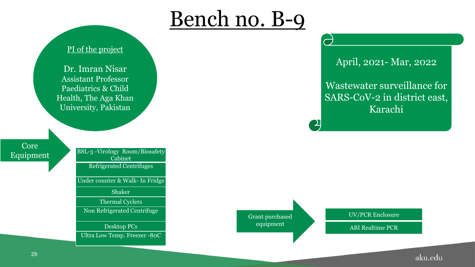

Dr. Imran Nisar Assistant Professor Paediatrics & Child Health, The Aga Khan University, Pakistan

Core Equipment

| BSL-3 -Virology Room/Biosafety  |
|---------------------------------|
| Cabinet                         |
| <b>Refrigerated Centrifuges</b> |
| Under counter & Walk- In Fridge |
| <b>Shaker</b>                   |
| <b>Thermal Cyclers</b>          |
| Non Refrigerated Centrifuge     |
| Desktop PCs                     |
| Ultra Low Temp. Freezer -80C    |
|                                 |

April, 2021- Mar, 2022

Wastewater surveillance for SARS-CoV-2 in district east, Karachi

Grant purchased equipment

UV/PCR Enclosure

ABI Realtime PCR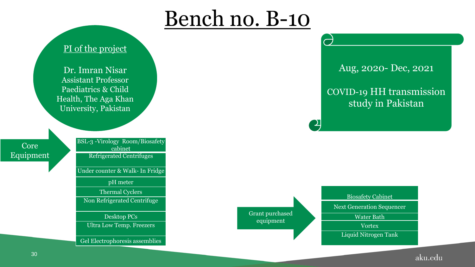

Dr. Imran Nisar Assistant Professor Paediatrics & Child Health, The Aga Khan University, Pakistan

Core Equipment BSL-3 -Virology Room/Biosafety cabinet Refrigerated Centrifuges Under counter & Walk- In Fridge pH meter Thermal Cyclers Non Refrigerated Centrifuge Desktop PCs Ultra Low Temp. Freezers

Gel Electrophoresis assemblies

Aug, 2020- Dec, 2021

COVID-19 HH transmission study in Pakistan

Grant purchased equipment

Biosafety Cabinet

Next Generation Sequencer

Water Bath

Vortex

Liquid Nitrogen Tank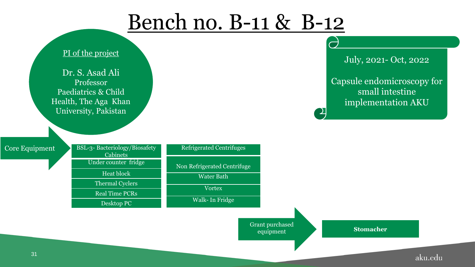## Bench no. B-11 & B-12

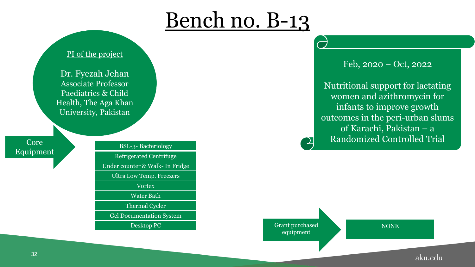### PI of the project

Dr. Fyezah Jehan Associate Professor Paediatrics & Child Health, The Aga Khan University, Pakistan

Equipment

BSL-3- Bacteriology Refrigerated Centrifuge Under counter & Walk- In Fridge Ultra Low Temp. Freezers Vortex Water Bath Thermal Cycler Gel Documentation System Desktop PC Grant purchased Feb, 2020 – Oct, 2022

Nutritional support for lactating women and azithromycin for infants to improve growth outcomes in the peri-urban slums of Karachi, Pakistan – a Core Randomized Controlled Trial

equipment

**NONE**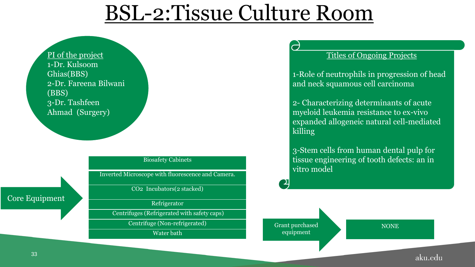# BSL-2:Tissue Culture Room

PI of the project 1-Dr. Kulsoom Ghias(BBS) 2-Dr. Fareena Bilwani (BBS) 3-Dr. Tashfeen Ahmad (Surgery)

#### Biosafety Cabinets

Inverted Microscope with fluorescence and Camera.

CO2 Incubators(2 stacked)

Refrigerator

Centrifuges (Refrigerated with safety caps)

Centrifuge (Non-refrigerated)

Water bath

#### Titles of Ongoing Projects

1-Role of neutrophils in progression of head and neck squamous cell carcinoma

2- Characterizing determinants of acute myeloid leukemia resistance to ex-vivo expanded allogeneic natural cell-mediated killing

3-Stem cells from human dental pulp for tissue engineering of tooth defects: an in vitro model

Grant purchased equipment

**NONE** 

#### aku.edu

Core Equipment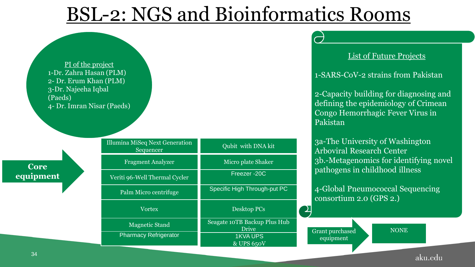### BSL-2: NGS and Bioinformatics Rooms

PI of the project 1-Dr. Zahra Hasan (PLM) 2- Dr. Erum Khan (PLM) 3-Dr. Najeeha Iqbal (Paeds) 4- Dr. Imran Nisar (Paeds) Pakistan Illumina MiSeq Next Generation Qubit with DNA kit Sequencer Micro plate Shaker Fragment Analyzer **Core**  Freezer -20C **equipment** Veriti 96-Well Thermal Cycler Specific High Through-put PC Palm Micro centrifuge  $\sum$ Vortex Desktop PCs Seagate 10TB Backup Plus Hub Magnetic Stand Drive Pharmacy Refrigerator 1KVA UPS equipment & UPS 650V

#### List of Future Projects

1-SARS-CoV-2 strains from Pakistan

2-Capacity building for diagnosing and defining the epidemiology of Crimean Congo Hemorrhagic Fever Virus in

3a-The University of Washington Arboviral Research Center 3b.-Metagenomics for identifying novel pathogens in childhood illness

4-Global Pneumococcal Sequencing consortium 2.0 (GPS 2.)

Grant purchased

**NONE**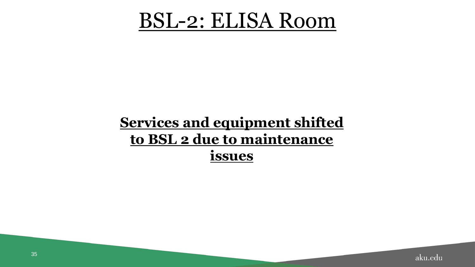### BSL-2: ELISA Room

### **Services and equipment shifted to BSL 2 due to maintenance issues**

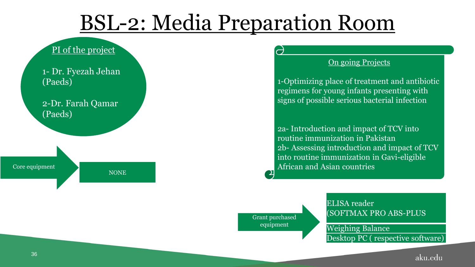# BSL-2: Media Preparation Room

### PI of the project

1- Dr. Fyezah Jehan (Paeds)

2-Dr. Farah Qamar (Paeds)

Core equipment

NONE

#### **On going Projects**

1-Optimizing place of treatment and antibiotic regimens for young infants presenting with signs of possible serious bacterial infection

2a- Introduction and impact of TCV into routine immunization in Pakistan 2b- Assessing introduction and impact of TCV into routine immunization in Gavi-eligible African and Asian countries

Grant purchased equipment

 $\mathbf{D}% _{t}=\mathbf{D}_{t}\mathbf{D}_{t}$ 

ELISA reader (SOFTMAX PRO ABS-PLUS

Weighing Balance Desktop PC ( respective software)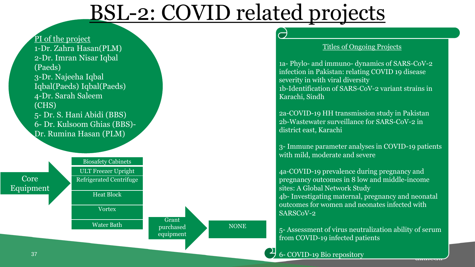# BSL-2: COVID related projects



#### Titles of Ongoing Projects

1a- Phylo- and immuno- dynamics of SARS-CoV-2 infection in Pakistan: relating COVID 19 disease severity in with viral diversity 1b-Identification of SARS-CoV-2 variant strains in Karachi, Sindh

2a-COVID-19 HH transmission study in Pakistan 2b-Wastewater surveillance for SARS-CoV-2 in district east, Karachi

3- Immune parameter analyses in COVID-19 patients with mild, moderate and severe

4a-COVID-19 prevalence during pregnancy and pregnancy outcomes in 8 low and middle-income sites: A Global Network Study 4b- Investigating maternal, pregnancy and neonatal outcomes for women and neonates infected with SARSCoV-2

5- Assessment of virus neutralization ability of serum from COVID-19 infected patients

6- COVID-19 Bio repository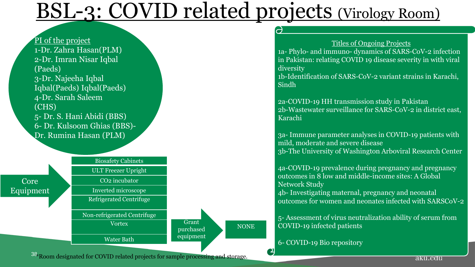# BSL-3: COVID related projects (Virology Room)





#### Titles of Ongoing Projects

1a- Phylo- and immuno- dynamics of SARS-CoV-2 infection in Pakistan: relating COVID 19 disease severity in with viral diversity

1b-Identification of SARS-CoV-2 variant strains in Karachi, Sindh

2a-COVID-19 HH transmission study in Pakistan 2b-Wastewater surveillance for SARS-CoV-2 in district east, Karachi

3a- Immune parameter analyses in COVID-19 patients with mild, moderate and severe disease 3b-The University of Washington Arboviral Research Center

4a-COVID-19 prevalence during pregnancy and pregnancy outcomes in 8 low and middle-income sites: A Global Network Study

4b- Investigating maternal, pregnancy and neonatal outcomes for women and neonates infected with SARSCoV-2

5- Assessment of virus neutralization ability of serum from COVID-19 infected patients

6- COVID-19 Bio repository

38 Room designated for COVID related projects for sample processing and storage.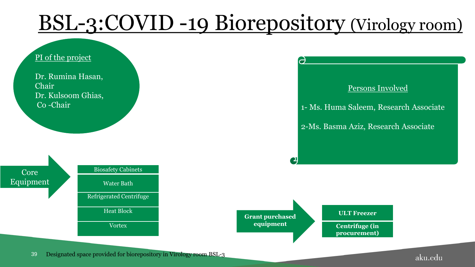# BSL-3:COVID -19 Biorepository (Virology room)

 $\Theta$ 

 $\mathbf{C}$ 

#### PI of the project

Dr. Rumina Hasan, Chair Dr. Kulsoom Ghias, Co -Chair





#### Persons Involved

1- Ms. Huma Saleem, Research Associate

2-Ms. Basma Aziz, Research Associate

**Grant purchased equipment** 

**ULT Freezer**

**Centrifuge (in procurement)**

39 Designated space provided for biorepository in Virology room BSL-3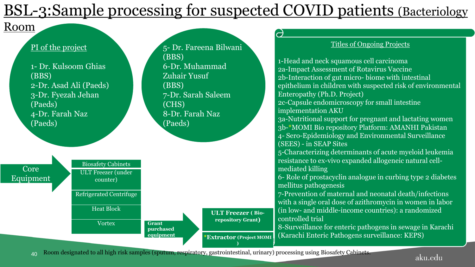### <u>:</u> BSL-3:Sample processing for suspected COVID patients (Bacteriology

5- Dr. Fareena Bilwani

### Room

#### PI of the project



40 Room designated to all high risk samples (sputum, respiratory, gastrointestinal, urinary) processing using Biosafety Cabinets.

#### aku.edu

Titles of Ongoing Projects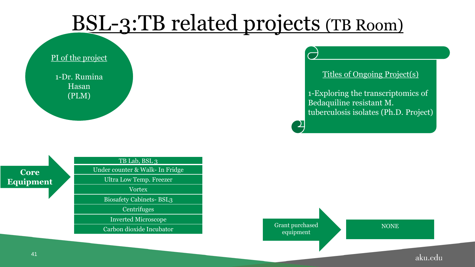# BSL-3:TB related projects (TB Room)

### PI of the project

1-Dr. Rumina Hasan (PLM)

### Titles of Ongoing Project(s)

1-Exploring the transcriptomics of Bedaquiline resistant M. tuberculosis isolates (Ph.D. Project)

### **Core Equipment**

TB Lab, BSL 3 Under counter & Walk- In Fridge Ultra Low Temp. Freezer Vortex Biosafety Cabinets- BSL3

**Centrifuges** 

Inverted Microscope

Carbon dioxide Incubator Grant purchased equipment

**NONE**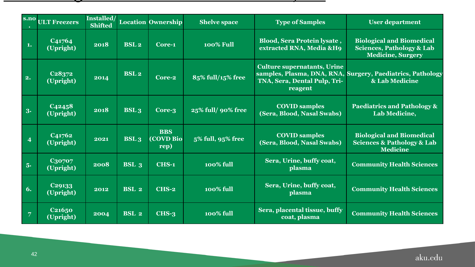### BSL-2 & 3: Ultra low freezers at JRL, GF  $\alpha$  3: Ultra low freezers at JRL, GF  $\alpha$  3: Ultra low freezers at JRL, GF  $\alpha$  3: Ultra low freezers at JRL, GF  $\alpha$  3: Ultra low freezers at JRL, GF  $\alpha$  3: Ultra low freezers at

|                           | s.no ULT Freezers                            | Installed/<br><b>Shifted</b> |                  | <b>Location Ownership</b>       | <b>Shelve space</b> | <b>Type of Samples</b>                                                        | <b>User department</b>                                                                               |
|---------------------------|----------------------------------------------|------------------------------|------------------|---------------------------------|---------------------|-------------------------------------------------------------------------------|------------------------------------------------------------------------------------------------------|
| $\blacksquare$            | C41764<br>(Upright)                          | 2018                         | <b>BSL2</b>      | Core-1                          | <b>100% Full</b>    | <b>Blood, Sera Protein lysate,</b><br>extracted RNA, Media &H9                | <b>Biological and Biomedical</b><br><b>Sciences, Pathology &amp; Lab</b><br><b>Medicine, Surgery</b> |
| $\overline{\mathbf{2}}$ . | C <sub>2</sub> 8 <sub>372</sub><br>(Upright) | 2014                         | <b>BSL2</b>      | $Core-2$                        | 85% full/15% free   | <b>Culture supernatants, Urine</b><br>TNA, Sera, Dental Pulp, Tri-<br>reagent | samples, Plasma, DNA, RNA, Surgery, Paediatrics, Pathology<br>& Lab Medicine                         |
| 3.                        | C <sub>4245</sub> 8<br>(Upright)             | 2018                         | <b>BSL3</b>      | Core-3                          | 25% full/ 90% free  | <b>COVID samples</b><br>(Sera, Blood, Nasal Swabs)                            | Paediatrics and Pathology &<br>Lab Medicine,                                                         |
| $\overline{4}$            | C41762<br>(Upright)                          | 2021                         | <b>BSL3</b>      | <b>BBS</b><br>(COVD Bio<br>rep) | 5% full, 95% free   | <b>COVID samples</b><br>(Sera, Blood, Nasal Swabs)                            | <b>Biological and Biomedical</b><br><b>Sciences &amp; Pathology &amp; Lab</b><br><b>Medicine</b>     |
| 5.                        | C30707<br>(Upright)                          | 2008                         | BSL <sub>3</sub> | <b>CHS-1</b>                    | <b>100% full</b>    | Sera, Urine, buffy coat,<br>plasma                                            | <b>Community Health Sciences</b>                                                                     |
| 6.                        | C29133<br>(Upright)                          | 2012                         | BSL <sub>2</sub> | CHS-2                           | <b>100% full</b>    | Sera, Urine, buffy coat,<br>plasma                                            | <b>Community Health Sciences</b>                                                                     |
| $\vert$ 7                 | C <sub>21650</sub><br>(Upright)              | 2004                         | BSL <sub>2</sub> | $CHS-3$                         | <b>100% full</b>    | Sera, placental tissue, buffy<br>coat, plasma                                 | <b>Community Health Sciences</b>                                                                     |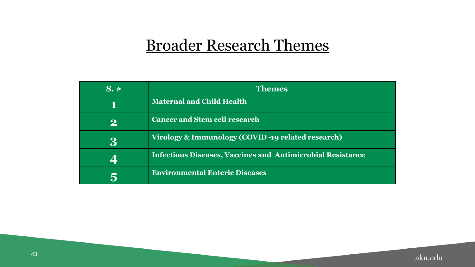### Broader Research Themes

| $S_{\star}$ # | <b>Themes</b>                                                     |  |
|---------------|-------------------------------------------------------------------|--|
| Т.            | <b>Maternal and Child Health</b>                                  |  |
| $\mathbf{2}$  | <b>Cancer and Stem cell research</b>                              |  |
| 3             | Virology & Immunology (COVID-19 related research)                 |  |
| $\Delta$      | <b>Infectious Diseases, Vaccines and Antimicrobial Resistance</b> |  |
| 5             | <b>Environmental Enteric Diseases</b>                             |  |